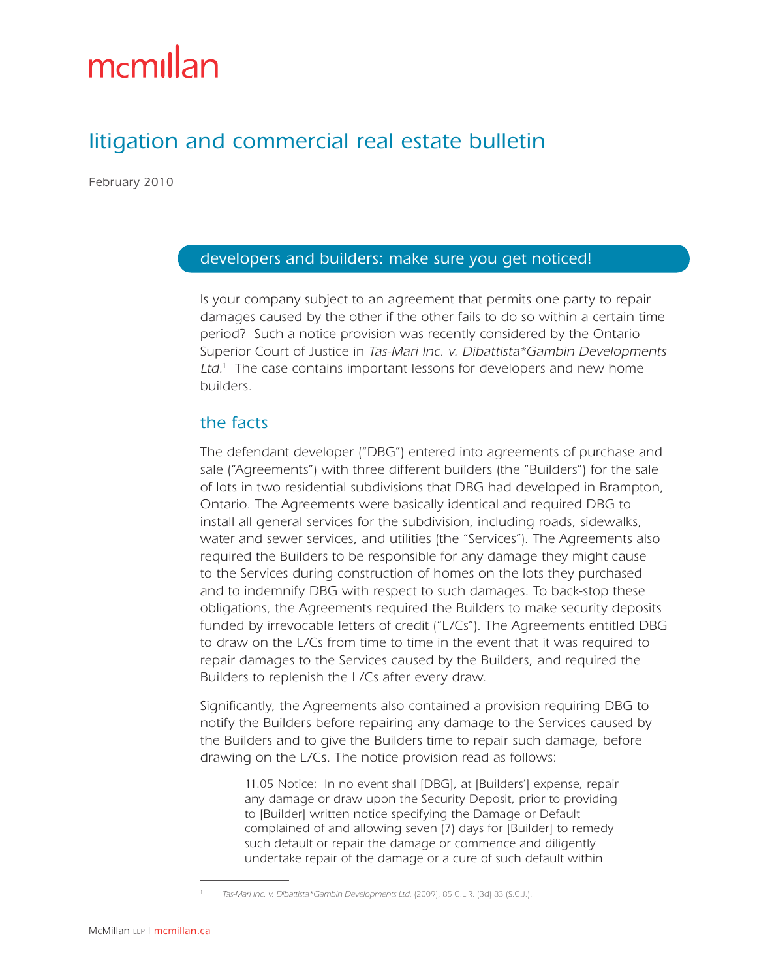# mcmillan

# litigation and commercial real estate bulletin

February 2010

#### developers and builders: make sure you get noticed!

Is your company subject to an agreement that permits one party to repair damages caused by the other if the other fails to do so within a certain time period? Such a notice provision was recently considered by the Ontario Superior Court of Justice in Tas-Mari Inc. v. Dibattista\*Gambin Developments  $Ltd<sup>1</sup>$ . The case contains important lessons for developers and new home builders.

#### the facts

The defendant developer ("DBG") entered into agreements of purchase and sale ("Agreements") with three different builders (the "Builders") for the sale of lots in two residential subdivisions that DBG had developed in Brampton, Ontario. The Agreements were basically identical and required DBG to install all general services for the subdivision, including roads, sidewalks, water and sewer services, and utilities (the "Services"). The Agreements also required the Builders to be responsible for any damage they might cause to the Services during construction of homes on the lots they purchased and to indemnify DBG with respect to such damages. To back-stop these obligations, the Agreements required the Builders to make security deposits funded by irrevocable letters of credit ("L/Cs"). The Agreements entitled DBG to draw on the L/Cs from time to time in the event that it was required to repair damages to the Services caused by the Builders, and required the Builders to replenish the L/Cs after every draw.

Significantly, the Agreements also contained a provision requiring DBG to notify the Builders before repairing any damage to the Services caused by the Builders and to give the Builders time to repair such damage, before drawing on the L/Cs. The notice provision read as follows:

11.05 Notice: In no event shall [DBG], at [Builders'] expense, repair any damage or draw upon the Security Deposit, prior to providing to [Builder] written notice specifying the Damage or Default complained of and allowing seven (7) days for [Builder] to remedy such default or repair the damage or commence and diligently undertake repair of the damage or a cure of such default within

<sup>1</sup> Tas-Mari Inc. v. Dibattista\*Gambin Developments Ltd. (2009), 85 C.L.R. (3d) 83 (S.C.J.).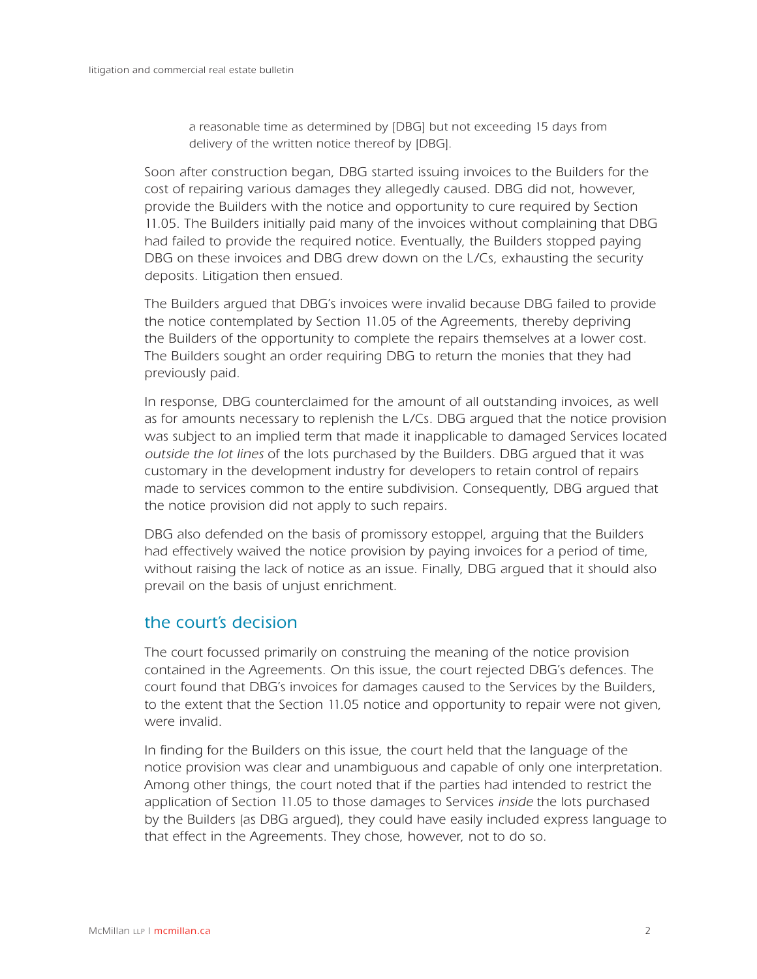a reasonable time as determined by [DBG] but not exceeding 15 days from delivery of the written notice thereof by [DBG].

Soon after construction began, DBG started issuing invoices to the Builders for the cost of repairing various damages they allegedly caused. DBG did not, however, provide the Builders with the notice and opportunity to cure required by Section 11.05. The Builders initially paid many of the invoices without complaining that DBG had failed to provide the required notice. Eventually, the Builders stopped paying DBG on these invoices and DBG drew down on the L/Cs, exhausting the security deposits. Litigation then ensued.

The Builders argued that DBG's invoices were invalid because DBG failed to provide the notice contemplated by Section 11.05 of the Agreements, thereby depriving the Builders of the opportunity to complete the repairs themselves at a lower cost. The Builders sought an order requiring DBG to return the monies that they had previously paid.

In response, DBG counterclaimed for the amount of all outstanding invoices, as well as for amounts necessary to replenish the L/Cs. DBG argued that the notice provision was subject to an implied term that made it inapplicable to damaged Services located outside the lot lines of the lots purchased by the Builders. DBG argued that it was customary in the development industry for developers to retain control of repairs made to services common to the entire subdivision. Consequently, DBG argued that the notice provision did not apply to such repairs.

DBG also defended on the basis of promissory estoppel, arguing that the Builders had effectively waived the notice provision by paying invoices for a period of time, without raising the lack of notice as an issue. Finally, DBG argued that it should also prevail on the basis of unjust enrichment.

## the court's decision

The court focussed primarily on construing the meaning of the notice provision contained in the Agreements. On this issue, the court rejected DBG's defences. The court found that DBG's invoices for damages caused to the Services by the Builders, to the extent that the Section 11.05 notice and opportunity to repair were not given, were invalid.

In finding for the Builders on this issue, the court held that the language of the notice provision was clear and unambiguous and capable of only one interpretation. Among other things, the court noted that if the parties had intended to restrict the application of Section 11.05 to those damages to Services inside the lots purchased by the Builders (as DBG argued), they could have easily included express language to that effect in the Agreements. They chose, however, not to do so.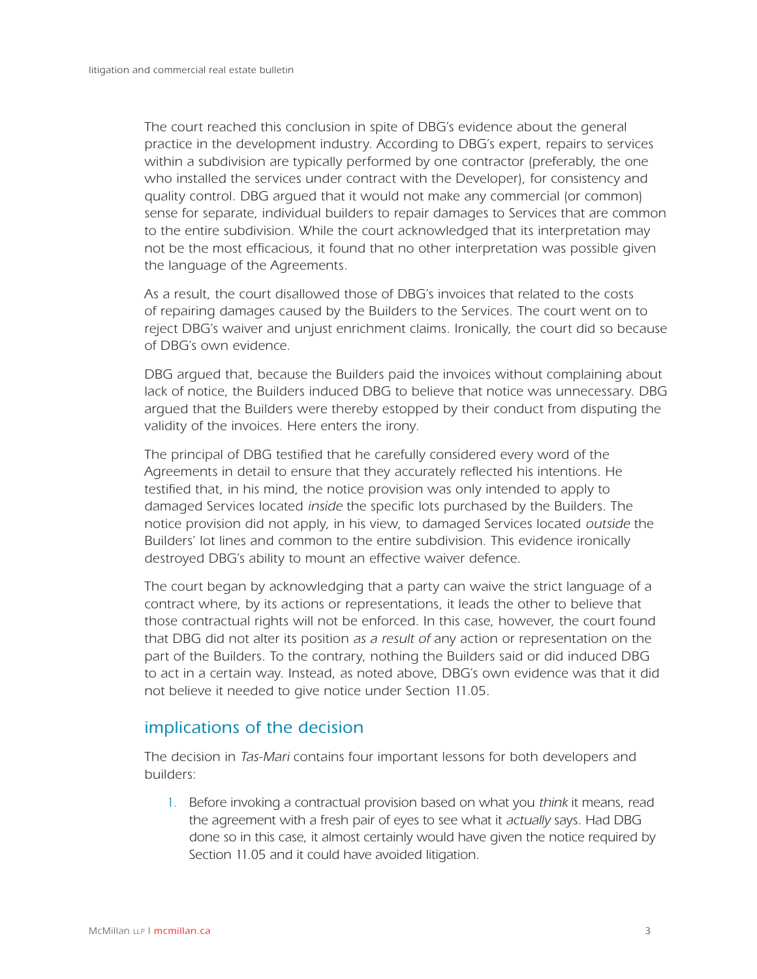The court reached this conclusion in spite of DBG's evidence about the general practice in the development industry. According to DBG's expert, repairs to services within a subdivision are typically performed by one contractor (preferably, the one who installed the services under contract with the Developer), for consistency and quality control. DBG argued that it would not make any commercial (or common) sense for separate, individual builders to repair damages to Services that are common to the entire subdivision. While the court acknowledged that its interpretation may not be the most efficacious, it found that no other interpretation was possible given the language of the Agreements.

As a result, the court disallowed those of DBG's invoices that related to the costs of repairing damages caused by the Builders to the Services. The court went on to reject DBG's waiver and unjust enrichment claims. Ironically, the court did so because of DBG's own evidence.

DBG argued that, because the Builders paid the invoices without complaining about lack of notice, the Builders induced DBG to believe that notice was unnecessary. DBG argued that the Builders were thereby estopped by their conduct from disputing the validity of the invoices. Here enters the irony.

The principal of DBG testified that he carefully considered every word of the Agreements in detail to ensure that they accurately reflected his intentions. He testified that, in his mind, the notice provision was only intended to apply to damaged Services located inside the specific lots purchased by the Builders. The notice provision did not apply, in his view, to damaged Services located outside the Builders' lot lines and common to the entire subdivision. This evidence ironically destroyed DBG's ability to mount an effective waiver defence.

The court began by acknowledging that a party can waive the strict language of a contract where, by its actions or representations, it leads the other to believe that those contractual rights will not be enforced. In this case, however, the court found that DBG did not alter its position as a result of any action or representation on the part of the Builders. To the contrary, nothing the Builders said or did induced DBG to act in a certain way. Instead, as noted above, DBG's own evidence was that it did not believe it needed to give notice under Section 11.05.

## implications of the decision

The decision in Tas-Mari contains four important lessons for both developers and builders:

1. Before invoking a contractual provision based on what you think it means, read the agreement with a fresh pair of eyes to see what it actually says. Had DBG done so in this case, it almost certainly would have given the notice required by Section 11.05 and it could have avoided litigation.